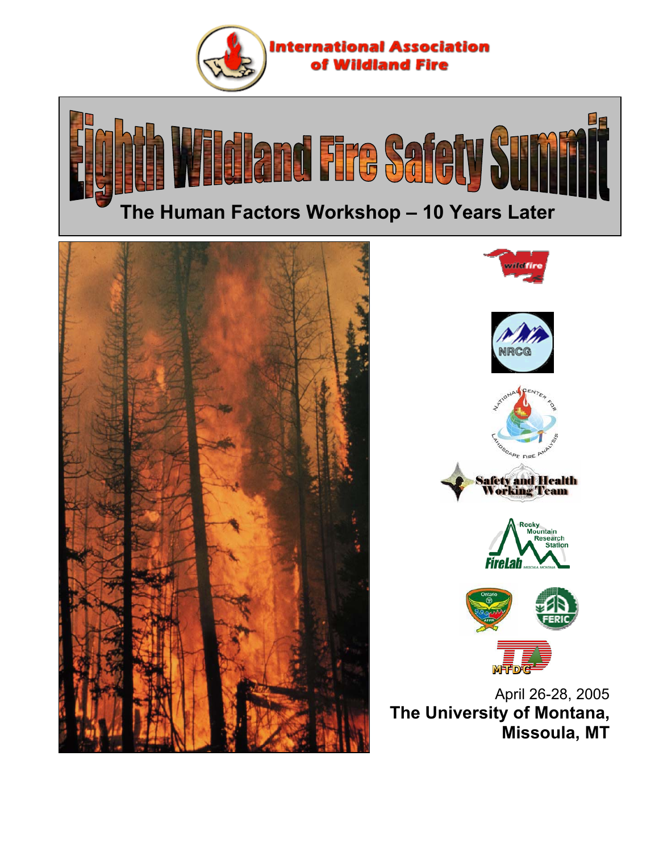







April 26-28, 2005 **The University of Montana, Missoula, MT**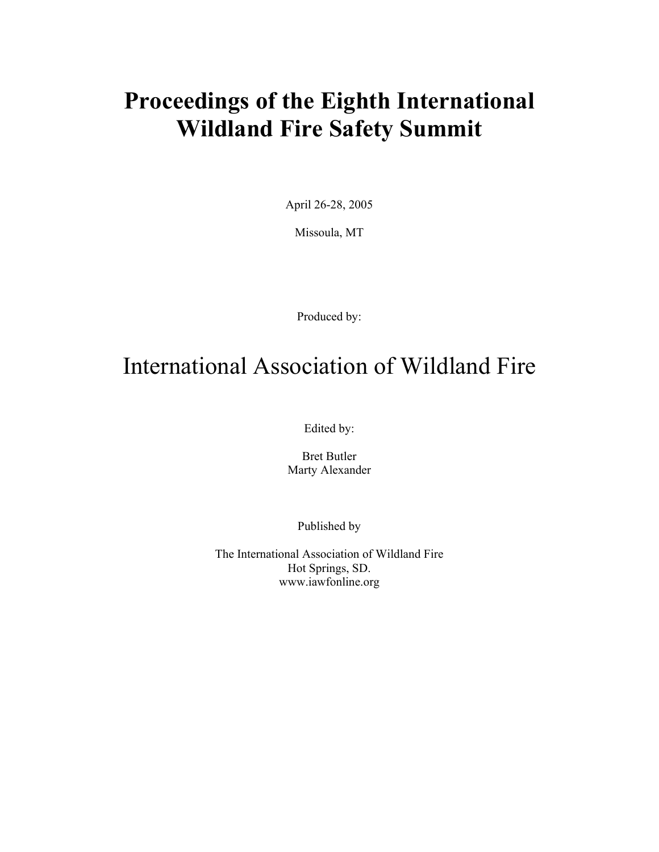# **Proceedings of the Eighth International Wildland Fire Safety Summit**

April 26-28, 2005

Missoula, MT

Produced by:

## International Association of Wildland Fire

Edited by:

Bret Butler Marty Alexander

Published by

The International Association of Wildland Fire Hot Springs, SD. www.iawfonline.org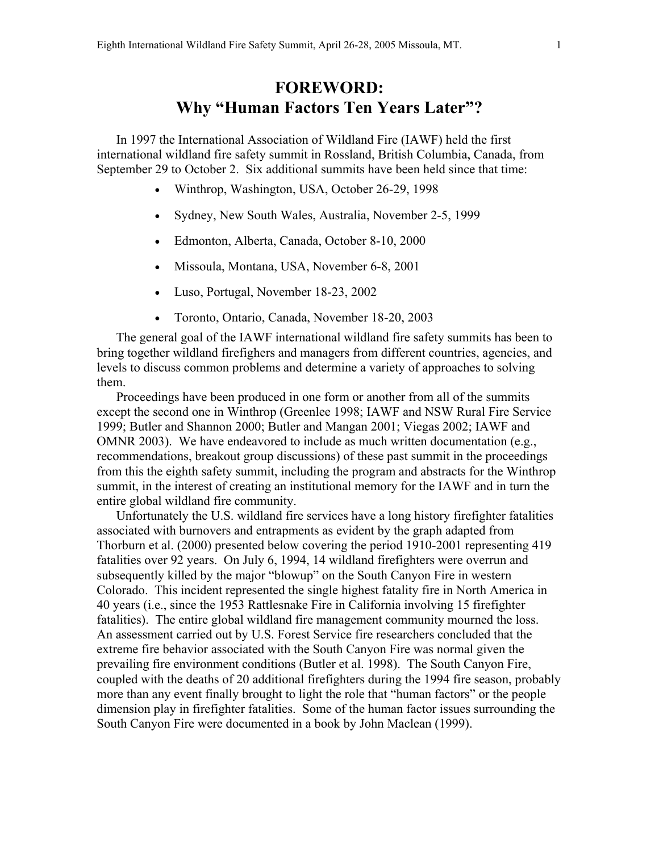## **FOREWORD: Why "Human Factors Ten Years Later"?**

In 1997 the International Association of Wildland Fire (IAWF) held the first international wildland fire safety summit in Rossland, British Columbia, Canada, from September 29 to October 2. Six additional summits have been held since that time:

- Winthrop, Washington, USA, October 26-29, 1998
- Sydney, New South Wales, Australia, November 2-5, 1999
- Edmonton, Alberta, Canada, October 8-10, 2000
- Missoula, Montana, USA, November 6-8, 2001
- Luso, Portugal, November 18-23, 2002
- Toronto, Ontario, Canada, November 18-20, 2003

The general goal of the IAWF international wildland fire safety summits has been to bring together wildland firefighers and managers from different countries, agencies, and levels to discuss common problems and determine a variety of approaches to solving them.

Proceedings have been produced in one form or another from all of the summits except the second one in Winthrop (Greenlee 1998; IAWF and NSW Rural Fire Service 1999; Butler and Shannon 2000; Butler and Mangan 2001; Viegas 2002; IAWF and OMNR 2003). We have endeavored to include as much written documentation (e.g., recommendations, breakout group discussions) of these past summit in the proceedings from this the eighth safety summit, including the program and abstracts for the Winthrop summit, in the interest of creating an institutional memory for the IAWF and in turn the entire global wildland fire community.

Unfortunately the U.S. wildland fire services have a long history firefighter fatalities associated with burnovers and entrapments as evident by the graph adapted from Thorburn et al. (2000) presented below covering the period 1910-2001 representing 419 fatalities over 92 years. On July 6, 1994, 14 wildland firefighters were overrun and subsequently killed by the major "blowup" on the South Canyon Fire in western Colorado. This incident represented the single highest fatality fire in North America in 40 years (i.e., since the 1953 Rattlesnake Fire in California involving 15 firefighter fatalities). The entire global wildland fire management community mourned the loss. An assessment carried out by U.S. Forest Service fire researchers concluded that the extreme fire behavior associated with the South Canyon Fire was normal given the prevailing fire environment conditions (Butler et al. 1998). The South Canyon Fire, coupled with the deaths of 20 additional firefighters during the 1994 fire season, probably more than any event finally brought to light the role that "human factors" or the people dimension play in firefighter fatalities. Some of the human factor issues surrounding the South Canyon Fire were documented in a book by John Maclean (1999).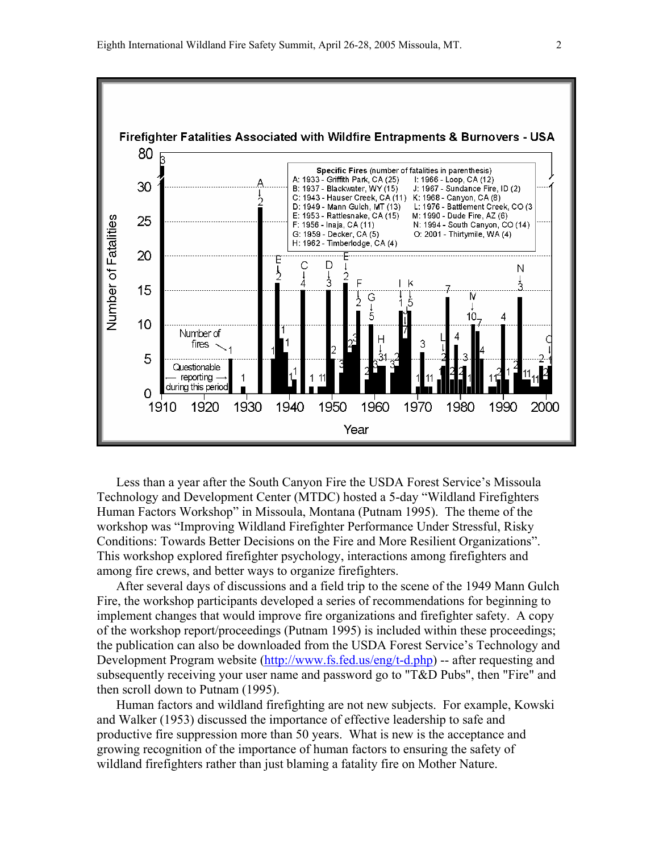

Less than a year after the South Canyon Fire the USDA Forest Service's Missoula Technology and Development Center (MTDC) hosted a 5-day "Wildland Firefighters Human Factors Workshop" in Missoula, Montana (Putnam 1995). The theme of the workshop was "Improving Wildland Firefighter Performance Under Stressful, Risky Conditions: Towards Better Decisions on the Fire and More Resilient Organizations". This workshop explored firefighter psychology, interactions among firefighters and among fire crews, and better ways to organize firefighters.

After several days of discussions and a field trip to the scene of the 1949 Mann Gulch Fire, the workshop participants developed a series of recommendations for beginning to implement changes that would improve fire organizations and firefighter safety. A copy of the workshop report/proceedings (Putnam 1995) is included within these proceedings; the publication can also be downloaded from the USDA Forest Service's Technology and Development Program website (http://www.fs.fed.us/eng/t-d.php) -- after requesting and subsequently receiving your user name and password go to "T&D Pubs", then "Fire" and then scroll down to Putnam (1995).

Human factors and wildland firefighting are not new subjects. For example, Kowski and Walker (1953) discussed the importance of effective leadership to safe and productive fire suppression more than 50 years. What is new is the acceptance and growing recognition of the importance of human factors to ensuring the safety of wildland firefighters rather than just blaming a fatality fire on Mother Nature.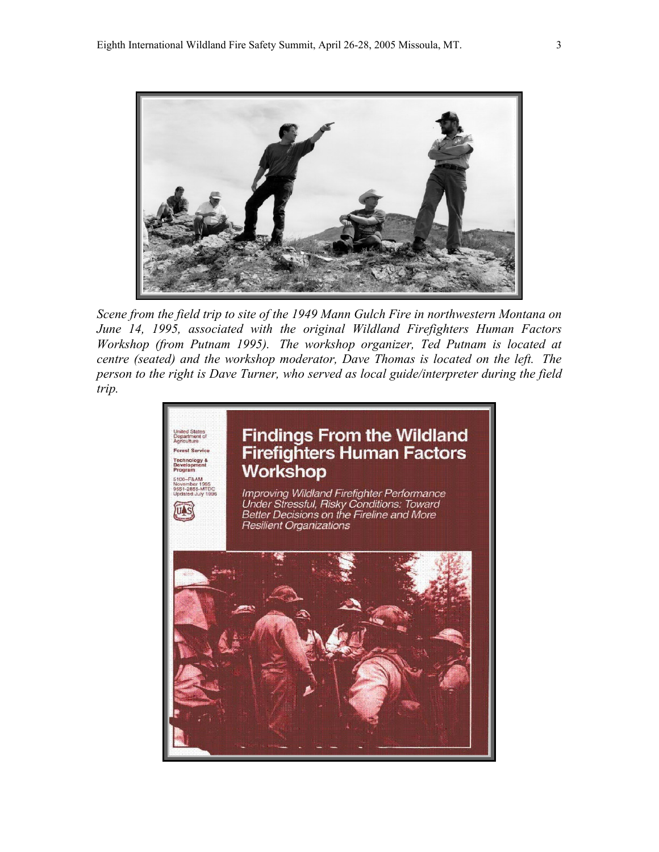

*Scene from the field trip to site of the 1949 Mann Gulch Fire in northwestern Montana on June 14, 1995, associated with the original Wildland Firefighters Human Factors Workshop (from Putnam 1995). The workshop organizer, Ted Putnam is located at centre (seated) and the workshop moderator, Dave Thomas is located on the left. The person to the right is Dave Turner, who served as local guide/interpreter during the field trip.*

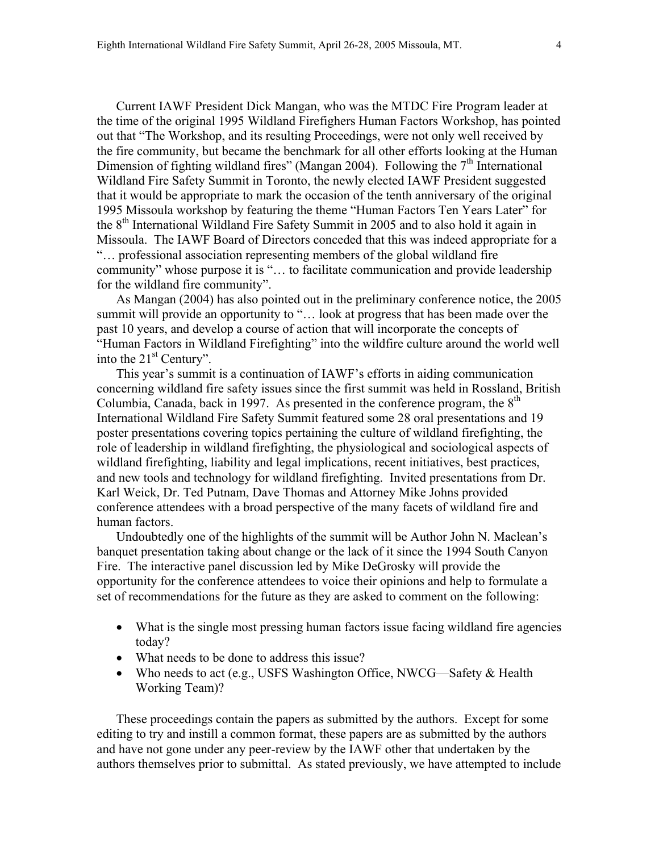Current IAWF President Dick Mangan, who was the MTDC Fire Program leader at the time of the original 1995 Wildland Firefighers Human Factors Workshop, has pointed out that "The Workshop, and its resulting Proceedings, were not only well received by the fire community, but became the benchmark for all other efforts looking at the Human Dimension of fighting wildland fires" (Mangan 2004). Following the 7<sup>th</sup> International Wildland Fire Safety Summit in Toronto, the newly elected IAWF President suggested that it would be appropriate to mark the occasion of the tenth anniversary of the original 1995 Missoula workshop by featuring the theme "Human Factors Ten Years Later" for the 8<sup>th</sup> International Wildland Fire Safety Summit in 2005 and to also hold it again in Missoula. The IAWF Board of Directors conceded that this was indeed appropriate for a "… professional association representing members of the global wildland fire community" whose purpose it is "… to facilitate communication and provide leadership for the wildland fire community".

As Mangan (2004) has also pointed out in the preliminary conference notice, the 2005 summit will provide an opportunity to "... look at progress that has been made over the past 10 years, and develop a course of action that will incorporate the concepts of "Human Factors in Wildland Firefighting" into the wildfire culture around the world well into the  $21<sup>st</sup>$  Century".

This year's summit is a continuation of IAWF's efforts in aiding communication concerning wildland fire safety issues since the first summit was held in Rossland, British Columbia, Canada, back in 1997. As presented in the conference program, the  $8<sup>th</sup>$ International Wildland Fire Safety Summit featured some 28 oral presentations and 19 poster presentations covering topics pertaining the culture of wildland firefighting, the role of leadership in wildland firefighting, the physiological and sociological aspects of wildland firefighting, liability and legal implications, recent initiatives, best practices, and new tools and technology for wildland firefighting. Invited presentations from Dr. Karl Weick, Dr. Ted Putnam, Dave Thomas and Attorney Mike Johns provided conference attendees with a broad perspective of the many facets of wildland fire and human factors.

Undoubtedly one of the highlights of the summit will be Author John N. Maclean's banquet presentation taking about change or the lack of it since the 1994 South Canyon Fire. The interactive panel discussion led by Mike DeGrosky will provide the opportunity for the conference attendees to voice their opinions and help to formulate a set of recommendations for the future as they are asked to comment on the following:

- What is the single most pressing human factors issue facing wildland fire agencies today?
- What needs to be done to address this issue?
- Who needs to act (e.g., USFS Washington Office, NWCG—Safety  $&$  Health Working Team)?

These proceedings contain the papers as submitted by the authors. Except for some editing to try and instill a common format, these papers are as submitted by the authors and have not gone under any peer-review by the IAWF other that undertaken by the authors themselves prior to submittal. As stated previously, we have attempted to include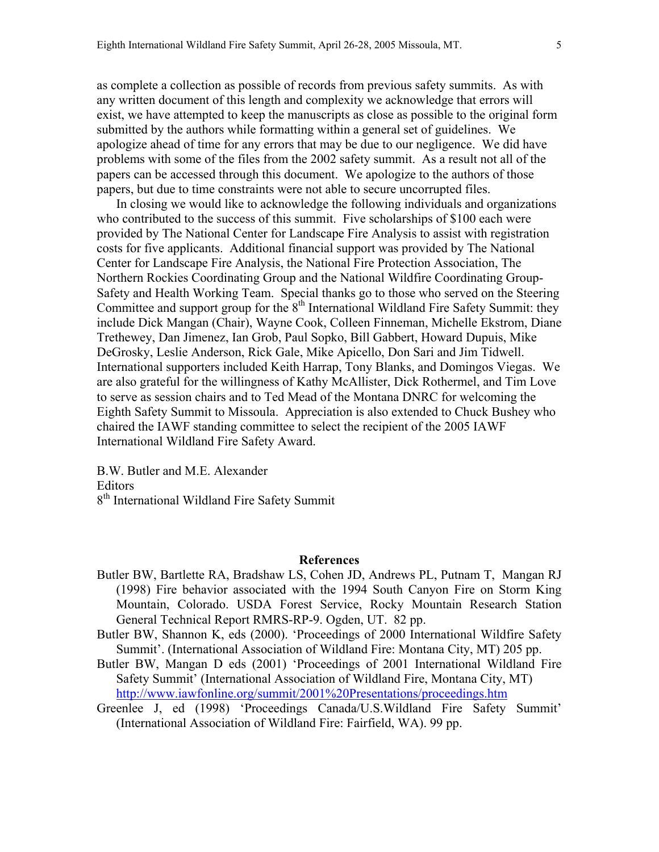as complete a collection as possible of records from previous safety summits. As with any written document of this length and complexity we acknowledge that errors will exist, we have attempted to keep the manuscripts as close as possible to the original form submitted by the authors while formatting within a general set of guidelines. We apologize ahead of time for any errors that may be due to our negligence. We did have problems with some of the files from the 2002 safety summit. As a result not all of the papers can be accessed through this document. We apologize to the authors of those papers, but due to time constraints were not able to secure uncorrupted files.

In closing we would like to acknowledge the following individuals and organizations who contributed to the success of this summit. Five scholarships of \$100 each were provided by The National Center for Landscape Fire Analysis to assist with registration costs for five applicants. Additional financial support was provided by The National Center for Landscape Fire Analysis, the National Fire Protection Association, The Northern Rockies Coordinating Group and the National Wildfire Coordinating Group-Safety and Health Working Team. Special thanks go to those who served on the Steering Committee and support group for the  $8<sup>th</sup>$  International Wildland Fire Safety Summit: they include Dick Mangan (Chair), Wayne Cook, Colleen Finneman, Michelle Ekstrom, Diane Trethewey, Dan Jimenez, Ian Grob, Paul Sopko, Bill Gabbert, Howard Dupuis, Mike DeGrosky, Leslie Anderson, Rick Gale, Mike Apicello, Don Sari and Jim Tidwell. International supporters included Keith Harrap, Tony Blanks, and Domingos Viegas. We are also grateful for the willingness of Kathy McAllister, Dick Rothermel, and Tim Love to serve as session chairs and to Ted Mead of the Montana DNRC for welcoming the Eighth Safety Summit to Missoula. Appreciation is also extended to Chuck Bushey who chaired the IAWF standing committee to select the recipient of the 2005 IAWF International Wildland Fire Safety Award.

B.W. Butler and M.E. Alexander Editors 8<sup>th</sup> International Wildland Fire Safety Summit

#### **References**

- Butler BW, Bartlette RA, Bradshaw LS, Cohen JD, Andrews PL, Putnam T, Mangan RJ (1998) Fire behavior associated with the 1994 South Canyon Fire on Storm King Mountain, Colorado. USDA Forest Service, Rocky Mountain Research Station General Technical Report RMRS-RP-9. Ogden, UT. 82 pp.
- Butler BW, Shannon K, eds (2000). 'Proceedings of 2000 International Wildfire Safety Summit'. (International Association of Wildland Fire: Montana City, MT) 205 pp.
- Butler BW, Mangan D eds (2001) 'Proceedings of 2001 International Wildland Fire Safety Summit' (International Association of Wildland Fire, Montana City, MT) http://www.iawfonline.org/summit/2001%20Presentations/proceedings.htm
- Greenlee J, ed (1998) 'Proceedings Canada/U.S.Wildland Fire Safety Summit' (International Association of Wildland Fire: Fairfield, WA). 99 pp.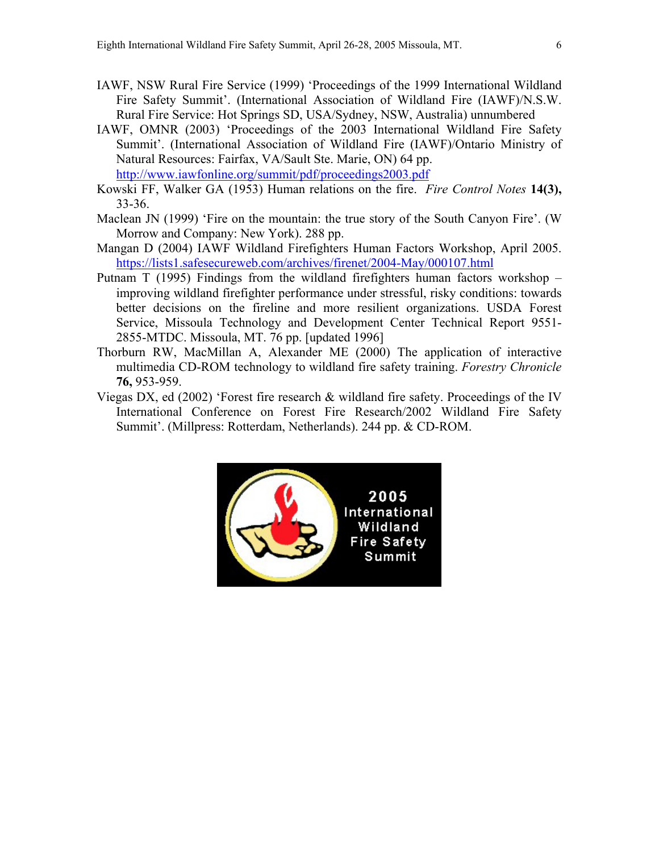- IAWF, NSW Rural Fire Service (1999) 'Proceedings of the 1999 International Wildland Fire Safety Summit'. (International Association of Wildland Fire (IAWF)/N.S.W. Rural Fire Service: Hot Springs SD, USA/Sydney, NSW, Australia) unnumbered
- IAWF, OMNR (2003) 'Proceedings of the 2003 International Wildland Fire Safety Summit'. (International Association of Wildland Fire (IAWF)/Ontario Ministry of Natural Resources: Fairfax, VA/Sault Ste. Marie, ON) 64 pp. http://www.iawfonline.org/summit/pdf/proceedings2003.pdf
- Kowski FF, Walker GA (1953) Human relations on the fire. *Fire Control Notes* **14(3),** 33-36.
- Maclean JN (1999) 'Fire on the mountain: the true story of the South Canyon Fire'. (W Morrow and Company: New York). 288 pp.
- Mangan D (2004) IAWF Wildland Firefighters Human Factors Workshop, April 2005. https://lists1.safesecureweb.com/archives/firenet/2004-May/000107.html
- Putnam T (1995) Findings from the wildland firefighters human factors workshop improving wildland firefighter performance under stressful, risky conditions: towards better decisions on the fireline and more resilient organizations. USDA Forest Service, Missoula Technology and Development Center Technical Report 9551- 2855-MTDC. Missoula, MT. 76 pp. [updated 1996]
- Thorburn RW, MacMillan A, Alexander ME (2000) The application of interactive multimedia CD-ROM technology to wildland fire safety training. *Forestry Chronicle* **76,** 953-959.
- Viegas DX, ed (2002) 'Forest fire research & wildland fire safety. Proceedings of the IV International Conference on Forest Fire Research/2002 Wildland Fire Safety Summit'. (Millpress: Rotterdam, Netherlands). 244 pp. & CD-ROM.

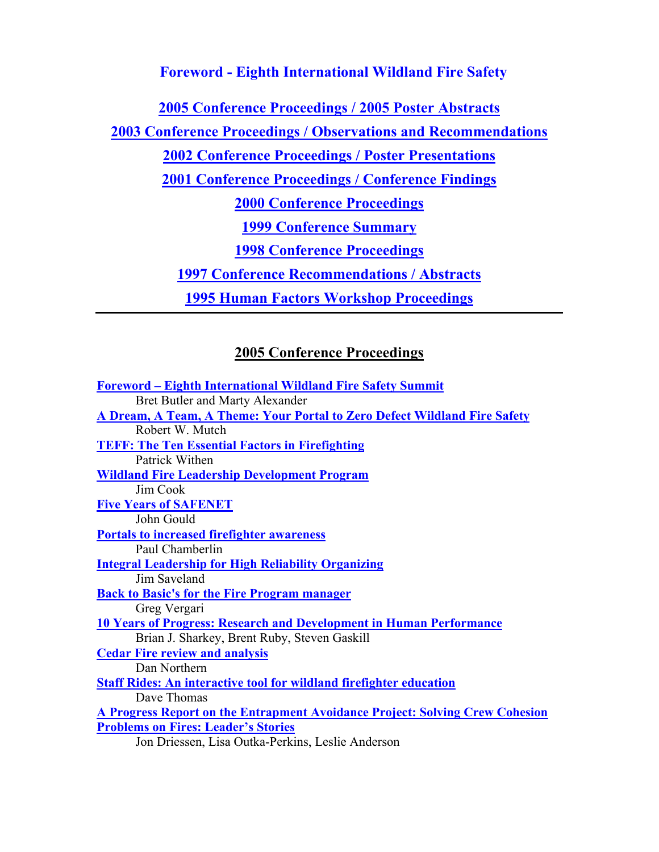#### **Foreword - Eighth International Wildland Fire Safety**

**2005 Conference Proceedings / 2005 Poster Abstracts**

**2003 Conference Proceedings / Observations and Recommendations**

**2002 Conference Proceedings / Poster Presentations**

**2001 Conference Proceedings / Conference Findings**

**2000 Conference Proceedings**

**1999 Conference Summary**

**1998 Conference Proceedings**

**1997 Conference Recommendations / Abstracts**

**1995 Human Factors Workshop Proceedings**

### **2005 Conference Proceedings**

**Foreword – Eighth International Wildland Fire Safety Summit** Bret Butler and Marty Alexander **A Dream, A Team, A Theme: Your Portal to Zero Defect Wildland Fire Safety** Robert W. Mutch **TEFF: The Ten Essential Factors in Firefighting** Patrick Withen **Wildland Fire Leadership Development Program** Jim Cook **Five Years of SAFENET** John Gould **Portals to increased firefighter awareness** Paul Chamberlin **Integral Leadership for High Reliability Organizing** Jim Saveland **Back to Basic's for the Fire Program manager** Greg Vergari **10 Years of Progress: Research and Development in Human Performance** Brian J. Sharkey, Brent Ruby, Steven Gaskill **Cedar Fire review and analysis** Dan Northern **Staff Rides: An interactive tool for wildland firefighter education** Dave Thomas **A Progress Report on the Entrapment Avoidance Project: Solving Crew Cohesion Problems on Fires: Leader's Stories** Jon Driessen, Lisa Outka-Perkins, Leslie Anderson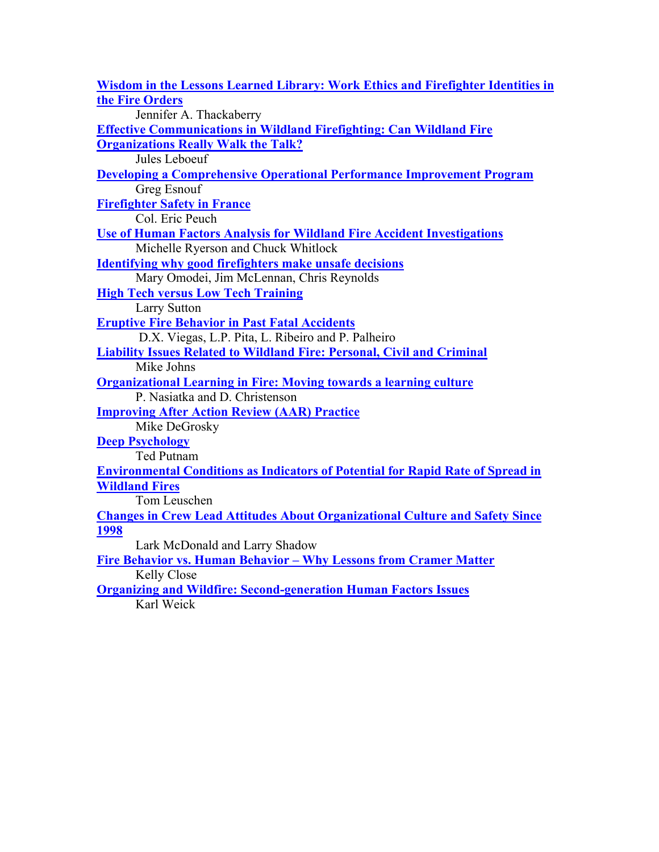| <b>Wisdom in the Lessons Learned Library: Work Ethics and Firefighter Identities in</b> |
|-----------------------------------------------------------------------------------------|
| the Fire Orders                                                                         |
| Jennifer A. Thackaberry                                                                 |
| <b>Effective Communications in Wildland Firefighting: Can Wildland Fire</b>             |
| <b>Organizations Really Walk the Talk?</b>                                              |
| Jules Leboeuf                                                                           |
| <b>Developing a Comprehensive Operational Performance Improvement Program</b>           |
| Greg Esnouf                                                                             |
| <b>Firefighter Safety in France</b>                                                     |
| Col. Eric Peuch                                                                         |
| <b>Use of Human Factors Analysis for Wildland Fire Accident Investigations</b>          |
| Michelle Ryerson and Chuck Whitlock                                                     |
| <b>Identifying why good firefighters make unsafe decisions</b>                          |
| Mary Omodei, Jim McLennan, Chris Reynolds                                               |
| <b>High Tech versus Low Tech Training</b>                                               |
| <b>Larry Sutton</b>                                                                     |
| <b>Eruptive Fire Behavior in Past Fatal Accidents</b>                                   |
| D.X. Viegas, L.P. Pita, L. Ribeiro and P. Palheiro                                      |
| <b>Liability Issues Related to Wildland Fire: Personal, Civil and Criminal</b>          |
| Mike Johns                                                                              |
| <b>Organizational Learning in Fire: Moving towards a learning culture</b>               |
| P. Nasiatka and D. Christenson                                                          |
| <b>Improving After Action Review (AAR) Practice</b>                                     |
| Mike DeGrosky                                                                           |
| <b>Deep Psychology</b>                                                                  |
| <b>Ted Putnam</b>                                                                       |
| <b>Environmental Conditions as Indicators of Potential for Rapid Rate of Spread in</b>  |
| <b>Wildland Fires</b>                                                                   |
| Tom Leuschen                                                                            |
| <b>Changes in Crew Lead Attitudes About Organizational Culture and Safety Since</b>     |
| 1998                                                                                    |
| Lark McDonald and Larry Shadow                                                          |
| Fire Behavior vs. Human Behavior - Why Lessons from Cramer Matter                       |
| <b>Kelly Close</b>                                                                      |
| <b>Organizing and Wildfire: Second-generation Human Factors Issues</b>                  |
| Karl Weick                                                                              |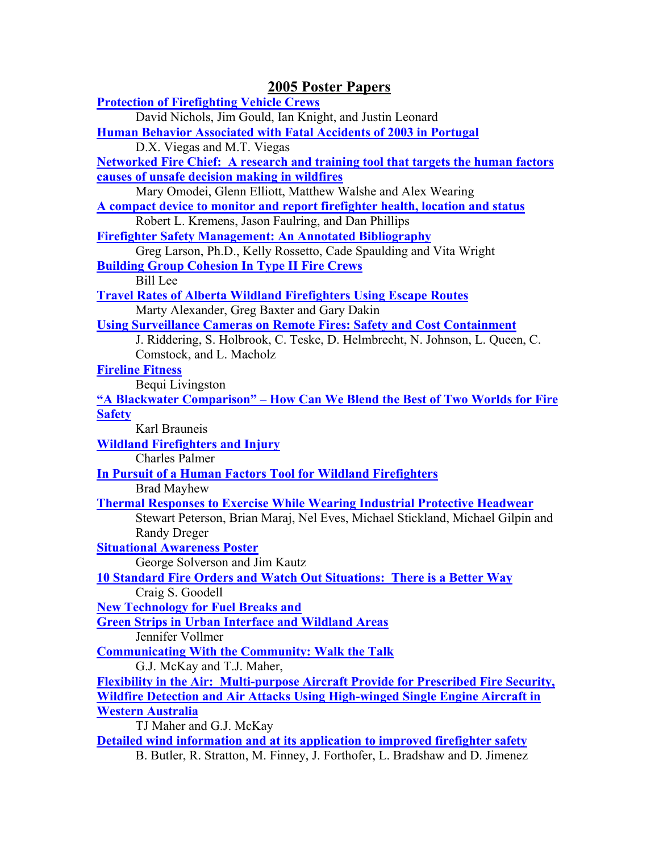| <b>2005 Poster Papers</b>                                                                                                                                           |
|---------------------------------------------------------------------------------------------------------------------------------------------------------------------|
| <b>Protection of Firefighting Vehicle Crews</b>                                                                                                                     |
| David Nichols, Jim Gould, Ian Knight, and Justin Leonard<br>Human Behavior Associated with Fatal Accidents of 2003 in Portugal                                      |
| D.X. Viegas and M.T. Viegas                                                                                                                                         |
| <b>Networked Fire Chief: A research and training tool that targets the human factors</b>                                                                            |
| causes of unsafe decision making in wildfires                                                                                                                       |
| Mary Omodei, Glenn Elliott, Matthew Walshe and Alex Wearing                                                                                                         |
| A compact device to monitor and report firefighter health, location and status                                                                                      |
| Robert L. Kremens, Jason Faulring, and Dan Phillips                                                                                                                 |
| <b>Firefighter Safety Management: An Annotated Bibliography</b>                                                                                                     |
| Greg Larson, Ph.D., Kelly Rossetto, Cade Spaulding and Vita Wright<br><b>Building Group Cohesion In Type II Fire Crews</b>                                          |
| <b>Bill</b> Lee                                                                                                                                                     |
| <b>Travel Rates of Alberta Wildland Firefighters Using Escape Routes</b>                                                                                            |
| Marty Alexander, Greg Baxter and Gary Dakin                                                                                                                         |
| <b>Using Surveillance Cameras on Remote Fires: Safety and Cost Containment</b>                                                                                      |
| J. Riddering, S. Holbrook, C. Teske, D. Helmbrecht, N. Johnson, L. Queen, C.                                                                                        |
| Comstock, and L. Macholz                                                                                                                                            |
| <b>Fireline Fitness</b><br>Bequi Livingston                                                                                                                         |
| "A Blackwater Comparison" – How Can We Blend the Best of Two Worlds for Fire                                                                                        |
| <b>Safety</b>                                                                                                                                                       |
| Karl Brauneis                                                                                                                                                       |
| <b>Wildland Firefighters and Injury</b>                                                                                                                             |
| <b>Charles Palmer</b>                                                                                                                                               |
| <b>In Pursuit of a Human Factors Tool for Wildland Firefighters</b>                                                                                                 |
| <b>Brad Mayhew</b>                                                                                                                                                  |
| <b>Thermal Responses to Exercise While Wearing Industrial Protective Headwear</b><br>Stewart Peterson, Brian Maraj, Nel Eves, Michael Stickland, Michael Gilpin and |
| <b>Randy Dreger</b>                                                                                                                                                 |
| <b>Situational Awareness Poster</b>                                                                                                                                 |
| George Solverson and Jim Kautz                                                                                                                                      |
| <b>10 Standard Fire Orders and Watch Out Situations: There is a Better Way</b>                                                                                      |
| Craig S. Goodell                                                                                                                                                    |
| <b>New Technology for Fuel Breaks and</b>                                                                                                                           |
| <b>Green Strips in Urban Interface and Wildland Areas</b>                                                                                                           |
| Jennifer Vollmer<br><b>Communicating With the Community: Walk the Talk</b>                                                                                          |
| G.J. McKay and T.J. Maher,                                                                                                                                          |
| Flexibility in the Air: Multi-purpose Aircraft Provide for Prescribed Fire Security,                                                                                |
| <b>Wildfire Detection and Air Attacks Using High-winged Single Engine Aircraft in</b>                                                                               |
| <b>Western Australia</b>                                                                                                                                            |
| TJ Maher and G.J. McKay                                                                                                                                             |
| Detailed wind information and at its application to improved firefighter safety                                                                                     |
| B. Butler, R. Stratton, M. Finney, J. Forthofer, L. Bradshaw and D. Jimenez                                                                                         |
|                                                                                                                                                                     |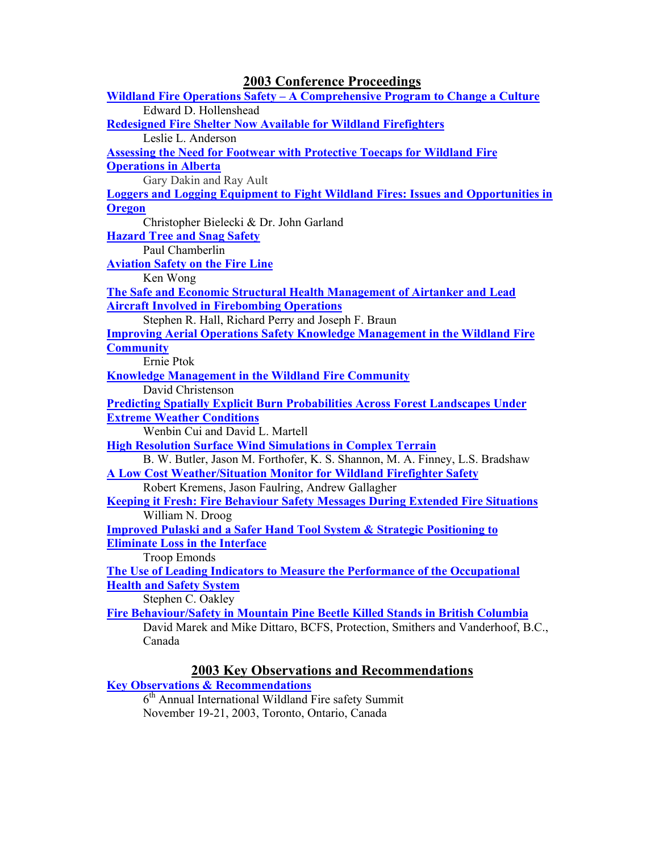| <b>2003 Conference Proceedings</b>                                                                      |
|---------------------------------------------------------------------------------------------------------|
| <u> Wildland Fire Operations Safety – A Comprehensive Program to Change a Culture</u>                   |
| Edward D. Hollenshead                                                                                   |
| <b>Redesigned Fire Shelter Now Available for Wildland Firefighters</b>                                  |
| Leslie L. Anderson                                                                                      |
| <b>Assessing the Need for Footwear with Protective Toecaps for Wildland Fire</b>                        |
| <b>Operations in Alberta</b>                                                                            |
| Gary Dakin and Ray Ault                                                                                 |
| <b>Loggers and Logging Equipment to Fight Wildland Fires: Issues and Opportunities in</b>               |
| <b>Oregon</b>                                                                                           |
| Christopher Bielecki & Dr. John Garland                                                                 |
| <b>Hazard Tree and Snag Safety</b>                                                                      |
| Paul Chamberlin                                                                                         |
| <b>Aviation Safety on the Fire Line</b>                                                                 |
| Ken Wong                                                                                                |
| The Safe and Economic Structural Health Management of Airtanker and Lead                                |
| <b>Aircraft Involved in Firebombing Operations</b>                                                      |
| Stephen R. Hall, Richard Perry and Joseph F. Braun                                                      |
| <b>Improving Aerial Operations Safety Knowledge Management in the Wildland Fire</b>                     |
| <b>Community</b>                                                                                        |
| Ernie Ptok                                                                                              |
| <b>Knowledge Management in the Wildland Fire Community</b>                                              |
| David Christenson                                                                                       |
| <u>Predicting Spatially Explicit Burn Probabilities Across Forest Landscapes Under</u>                  |
| <b>Extreme Weather Conditions</b>                                                                       |
| Wenbin Cui and David L. Martell                                                                         |
| <b>High Resolution Surface Wind Simulations in Complex Terrain</b>                                      |
| B. W. Butler, Jason M. Forthofer, K. S. Shannon, M. A. Finney, L.S. Bradshaw                            |
| <b>A Low Cost Weather/Situation Monitor for Wildland Firefighter Safety</b>                             |
| Robert Kremens, Jason Faulring, Andrew Gallagher                                                        |
| <b>Keeping it Fresh: Fire Behaviour Safety Messages During Extended Fire Situations</b>                 |
| William N. Droog<br><b>Improved Pulaski and a Safer Hand Tool System &amp; Strategic Positioning to</b> |
|                                                                                                         |
| <b>Eliminate Loss in the Interface</b><br><b>Troop Emonds</b>                                           |
| The Use of Leading Indicators to Measure the Performance of the Occupational                            |
| <b>Health and Safety System</b>                                                                         |
| Stephen C. Oakley                                                                                       |
| Fire Behaviour/Safety in Mountain Pine Beetle Killed Stands in British Columbia                         |
| David Marek and Mike Dittaro, BCFS, Protection, Smithers and Vanderhoof, B.C.,                          |
| Canada                                                                                                  |
|                                                                                                         |

#### **2003 Key Observations and Recommendations**

**Key Observations & Recommendations**

 $6<sup>th</sup>$  Annual International Wildland Fire safety Summit November 19-21, 2003, Toronto, Ontario, Canada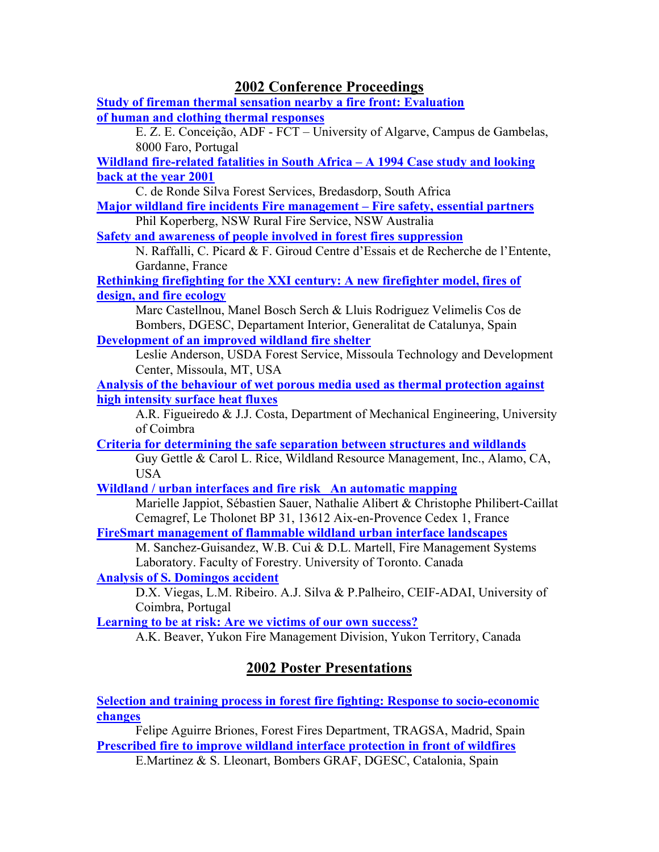#### **2002 Conference Proceedings**

**Study of fireman thermal sensation nearby a fire front: Evaluation of human and clothing thermal responses**

E. Z. E. Conceição, ADF - FCT – University of Algarve, Campus de Gambelas, 8000 Faro, Portugal

**Wildland fire-related fatalities in South Africa – A 1994 Case study and looking back at the year 2001**

C. de Ronde Silva Forest Services, Bredasdorp, South Africa **Major wildland fire incidents Fire management – Fire safety, essential partners**

Phil Koperberg, NSW Rural Fire Service, NSW Australia

**Safety and awareness of people involved in forest fires suppression**

N. Raffalli, C. Picard & F. Giroud Centre d'Essais et de Recherche de l'Entente, Gardanne, France

**Rethinking firefighting for the XXI century: A new firefighter model, fires of design, and fire ecology**

Marc Castellnou, Manel Bosch Serch & Lluis Rodriguez Velimelis Cos de Bombers, DGESC, Departament Interior, Generalitat de Catalunya, Spain **Development of an improved wildland fire shelter**

Leslie Anderson, USDA Forest Service, Missoula Technology and Development Center, Missoula, MT, USA

**Analysis of the behaviour of wet porous media used as thermal protection against high intensity surface heat fluxes**

A.R. Figueiredo & J.J. Costa, Department of Mechanical Engineering, University of Coimbra

**Criteria for determining the safe separation between structures and wildlands** Guy Gettle & Carol L. Rice, Wildland Resource Management, Inc., Alamo, CA, USA

**Wildland / urban interfaces and fire risk An automatic mapping**

Marielle Jappiot, Sébastien Sauer, Nathalie Alibert & Christophe Philibert-Caillat Cemagref, Le Tholonet BP 31, 13612 Aix-en-Provence Cedex 1, France

**FireSmart management of flammable wildland urban interface landscapes**

M. Sanchez-Guisandez, W.B. Cui & D.L. Martell, Fire Management Systems Laboratory. Faculty of Forestry. University of Toronto. Canada

**Analysis of S. Domingos accident**

D.X. Viegas, L.M. Ribeiro. A.J. Silva & P.Palheiro, CEIF-ADAI, University of Coimbra, Portugal

**Learning to be at risk: Are we victims of our own success?**

A.K. Beaver, Yukon Fire Management Division, Yukon Territory, Canada

## **2002 Poster Presentations**

**Selection and training process in forest fire fighting: Response to socio-economic changes**

Felipe Aguirre Briones, Forest Fires Department, TRAGSA, Madrid, Spain **Prescribed fire to improve wildland interface protection in front of wildfires**

E.Martinez & S. Lleonart, Bombers GRAF, DGESC, Catalonia, Spain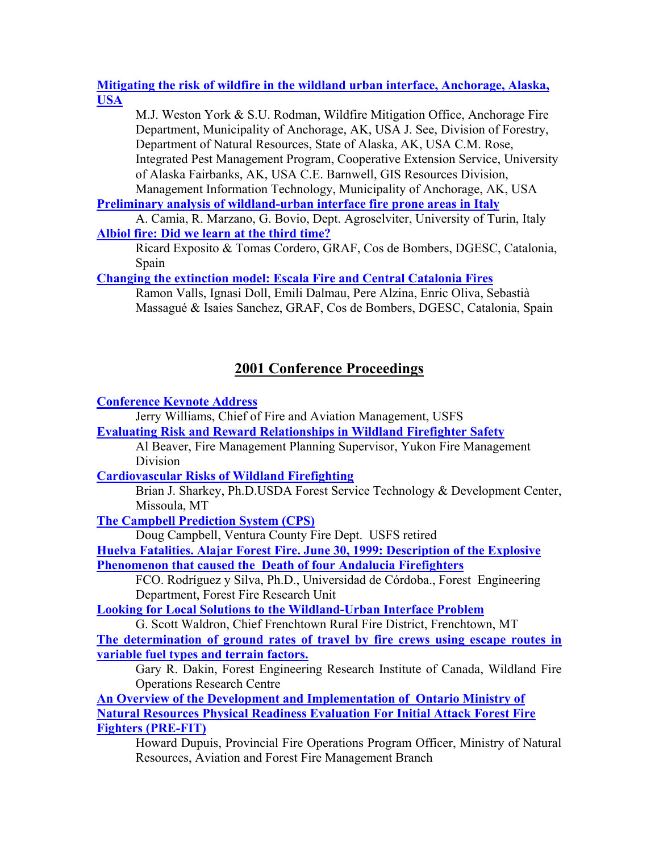#### **Mitigating the risk of wildfire in the wildland urban interface, Anchorage, Alaska, USA**

M.J. Weston York & S.U. Rodman, Wildfire Mitigation Office, Anchorage Fire Department, Municipality of Anchorage, AK, USA J. See, Division of Forestry, Department of Natural Resources, State of Alaska, AK, USA C.M. Rose, Integrated Pest Management Program, Cooperative Extension Service, University of Alaska Fairbanks, AK, USA C.E. Barnwell, GIS Resources Division, Management Information Technology, Municipality of Anchorage, AK, USA

#### **Preliminary analysis of wildland-urban interface fire prone areas in Italy**

A. Camia, R. Marzano, G. Bovio, Dept. Agroselviter, University of Turin, Italy **Albiol fire: Did we learn at the third time?**

Ricard Exposito & Tomas Cordero, GRAF, Cos de Bombers, DGESC, Catalonia, Spain

**Changing the extinction model: Escala Fire and Central Catalonia Fires**

Ramon Valls, Ignasi Doll, Emili Dalmau, Pere Alzina, Enric Oliva, Sebastià Massagué & Isaies Sanchez, GRAF, Cos de Bombers, DGESC, Catalonia, Spain

## **2001 Conference Proceedings**

**Conference Keynote Address**

Jerry Williams, Chief of Fire and Aviation Management, USFS **Evaluating Risk and Reward Relationships in Wildland Firefighter Safety**

Al Beaver, Fire Management Planning Supervisor, Yukon Fire Management Division

**Cardiovascular Risks of Wildland Firefighting**

Brian J. Sharkey, Ph.D.USDA Forest Service Technology & Development Center, Missoula, MT

**The Campbell Prediction System (CPS)**

Doug Campbell, Ventura County Fire Dept. USFS retired

**Huelva Fatalities. Alajar Forest Fire. June 30, 1999: Description of the Explosive Phenomenon that caused the Death of four Andalucia Firefighters**

FCO. Rodríguez y Silva, Ph.D., Universidad de Córdoba., Forest Engineering Department, Forest Fire Research Unit

**Looking for Local Solutions to the Wildland-Urban Interface Problem**

G. Scott Waldron, Chief Frenchtown Rural Fire District, Frenchtown, MT **The determination of ground rates of travel by fire crews using escape routes in variable fuel types and terrain factors.**

Gary R. Dakin, Forest Engineering Research Institute of Canada, Wildland Fire Operations Research Centre

**An Overview of the Development and Implementation of Ontario Ministry of Natural Resources Physical Readiness Evaluation For Initial Attack Forest Fire Fighters (PRE-FIT)**

Howard Dupuis, Provincial Fire Operations Program Officer, Ministry of Natural Resources, Aviation and Forest Fire Management Branch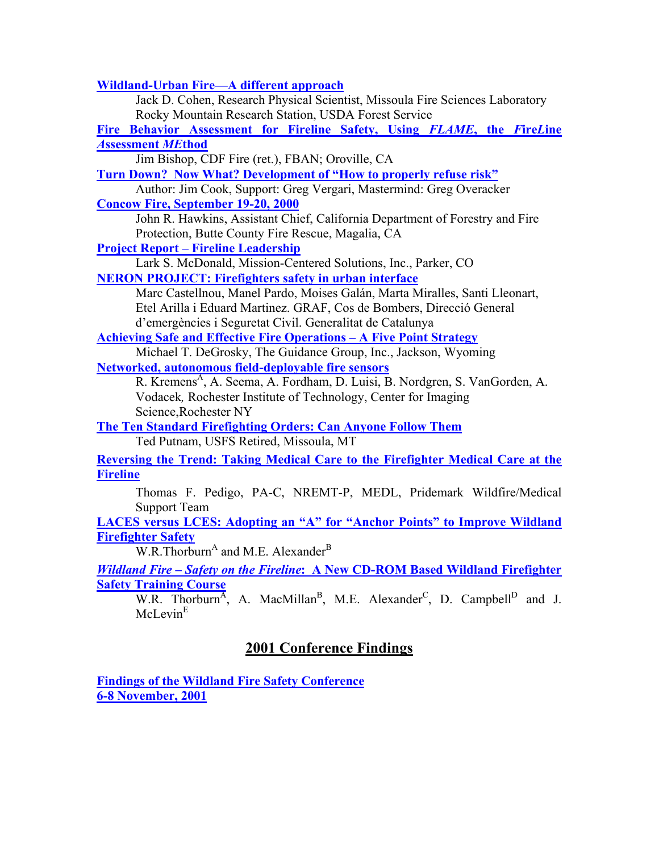**Wildland-Urban Fire—A different approach**

Jack D. Cohen, Research Physical Scientist, Missoula Fire Sciences Laboratory Rocky Mountain Research Station, USDA Forest Service **Fire Behavior Assessment for Fireline Safety, Using** *FLAME***, the** *F***ire***L***ine** *A***ssessment** *ME***thod** Jim Bishop, CDF Fire (ret.), FBAN; Oroville, CA **Turn Down? Now What? Development of "How to properly refuse risk"** Author: Jim Cook, Support: Greg Vergari, Mastermind: Greg Overacker **Concow Fire, September 19-20, 2000** John R. Hawkins, Assistant Chief, California Department of Forestry and Fire Protection, Butte County Fire Rescue, Magalia, CA **Project Report – Fireline Leadership** Lark S. McDonald, Mission-Centered Solutions, Inc., Parker, CO **NERON PROJECT: Firefighters safety in urban interface**  Marc Castellnou, Manel Pardo, Moises Galán, Marta Miralles, Santi Lleonart, Etel Arilla i Eduard Martinez. GRAF, Cos de Bombers, Direcció General d'emergències i Seguretat Civil. Generalitat de Catalunya **Achieving Safe and Effective Fire Operations – A Five Point Strategy** Michael T. DeGrosky, The Guidance Group, Inc., Jackson, Wyoming **Networked, autonomous field-deployable fire sensors** R. Kremens<sup>A</sup>, A. Seema, A. Fordham, D. Luisi, B. Nordgren, S. VanGorden, A. Vodacek*,* Rochester Institute of Technology, Center for Imaging Science,Rochester NY **The Ten Standard Firefighting Orders: Can Anyone Follow Them** Ted Putnam, USFS Retired, Missoula, MT **Reversing the Trend: Taking Medical Care to the Firefighter Medical Care at the Fireline** Thomas F. Pedigo, PA-C, NREMT-P, MEDL, Pridemark Wildfire/Medical Support Team **LACES versus LCES: Adopting an "A" for "Anchor Points" to Improve Wildland Firefighter Safety**  $W.R.$ Thorburn<sup>A</sup> and M.E. Alexander<sup>B</sup> *Wildland Fire – Safety on the Fireline***: A New CD-ROM Based Wildland Firefighter Safety Training Course** W.R. Thorburn<sup>A</sup>, A. MacMillan<sup>B</sup>, M.E. Alexander<sup>C</sup>, D. Campbell<sup>D</sup> and J. McLevin<sup>E</sup> **2001 Conference Findings**

**Findings of the Wildland Fire Safety Conference 6-8 November, 2001**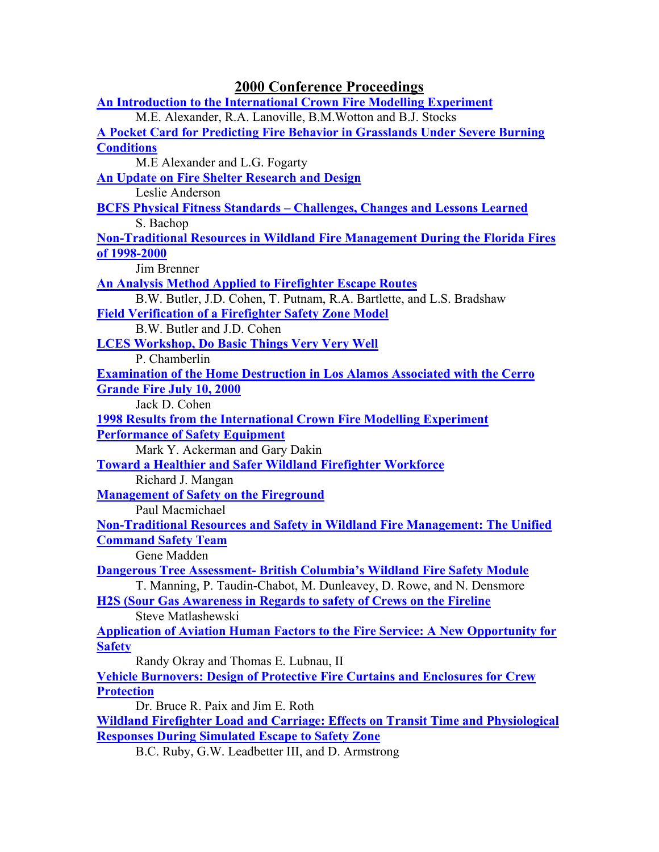| <b>2000 Conference Proceedings</b>                                                       |
|------------------------------------------------------------------------------------------|
| <b>An Introduction to the International Crown Fire Modelling Experiment</b>              |
| M.E. Alexander, R.A. Lanoville, B.M. Wotton and B.J. Stocks                              |
| A Pocket Card for Predicting Fire Behavior in Grasslands Under Severe Burning            |
| <b>Conditions</b>                                                                        |
| M.E Alexander and L.G. Fogarty                                                           |
| <b>An Update on Fire Shelter Research and Design</b>                                     |
| Leslie Anderson                                                                          |
| <b>BCFS Physical Fitness Standards - Challenges, Changes and Lessons Learned</b>         |
| S. Bachop                                                                                |
| <b>Non-Traditional Resources in Wildland Fire Management During the Florida Fires</b>    |
| of 1998-2000                                                                             |
| Jim Brenner                                                                              |
| <b>An Analysis Method Applied to Firefighter Escape Routes</b>                           |
| B.W. Butler, J.D. Cohen, T. Putnam, R.A. Bartlette, and L.S. Bradshaw                    |
| <b>Field Verification of a Firefighter Safety Zone Model</b>                             |
| B.W. Butler and J.D. Cohen                                                               |
| <b>LCES Workshop, Do Basic Things Very Very Well</b>                                     |
| P. Chamberlin                                                                            |
| <b>Examination of the Home Destruction in Los Alamos Associated with the Cerro</b>       |
| <b>Grande Fire July 10, 2000</b>                                                         |
| Jack D. Cohen                                                                            |
| <b>1998 Results from the International Crown Fire Modelling Experiment</b>               |
| <b>Performance of Safety Equipment</b>                                                   |
| Mark Y. Ackerman and Gary Dakin                                                          |
| <b>Toward a Healthier and Safer Wildland Firefighter Workforce</b>                       |
| Richard J. Mangan                                                                        |
| <b>Management of Safety on the Fireground</b>                                            |
| Paul Macmichael                                                                          |
| <b>Non-Traditional Resources and Safety in Wildland Fire Management: The Unified</b>     |
| <b>Command Safety Team</b>                                                               |
| Gene Madden                                                                              |
| <b>Dangerous Tree Assessment- British Columbia's Wildland Fire Safety Module</b>         |
| T. Manning, P. Taudin-Chabot, M. Dunleavey, D. Rowe, and N. Densmore                     |
| <b>H2S (Sour Gas Awareness in Regards to safety of Crews on the Fireline</b>             |
| Steve Matlashewski                                                                       |
| <b>Application of Aviation Human Factors to the Fire Service: A New Opportunity for</b>  |
| <b>Safety</b>                                                                            |
| Randy Okray and Thomas E. Lubnau, II                                                     |
| <b>Vehicle Burnovers: Design of Protective Fire Curtains and Enclosures for Crew</b>     |
| <b>Protection</b>                                                                        |
| Dr. Bruce R. Paix and Jim E. Roth                                                        |
| <b>Wildland Firefighter Load and Carriage: Effects on Transit Time and Physiological</b> |
| <b>Responses During Simulated Escape to Safety Zone</b>                                  |
| <b>DC</b> Duby GW Loadbottor III and D Armstrong                                         |

B.C. Ruby, G.W. Leadbetter III, and D. Armstrong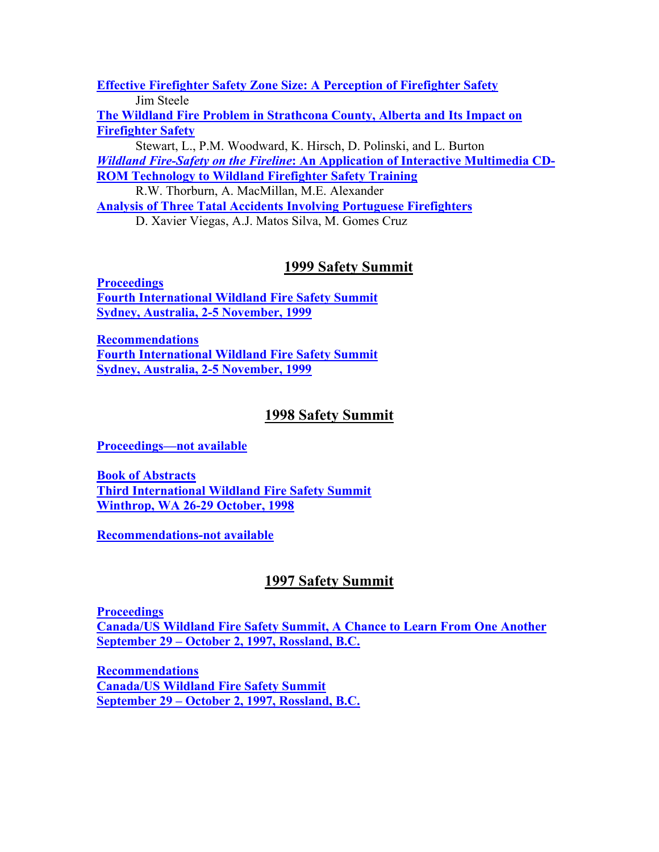**Effective Firefighter Safety Zone Size: A Perception of Firefighter Safety** Jim Steele

**The Wildland Fire Problem in Strathcona County, Alberta and Its Impact on Firefighter Safety**

Stewart, L., P.M. Woodward, K. Hirsch, D. Polinski, and L. Burton *Wildland Fire-Safety on the Fireline***: An Application of Interactive Multimedia CD-ROM Technology to Wildland Firefighter Safety Training**

R.W. Thorburn, A. MacMillan, M.E. Alexander

**Analysis of Three Tatal Accidents Involving Portuguese Firefighters**

D. Xavier Viegas, A.J. Matos Silva, M. Gomes Cruz

## **1999 Safety Summit**

**Proceedings Fourth International Wildland Fire Safety Summit Sydney, Australia, 2-5 November, 1999**

**Recommendations Fourth International Wildland Fire Safety Summit Sydney, Australia, 2-5 November, 1999**

## **1998 Safety Summit**

**Proceedings—not available** 

**Book of Abstracts Third International Wildland Fire Safety Summit Winthrop, WA 26-29 October, 1998**

**Recommendations-not available**

## **1997 Safety Summit**

**Proceedings Canada/US Wildland Fire Safety Summit, A Chance to Learn From One Another September 29 – October 2, 1997, Rossland, B.C.**

**Recommendations Canada/US Wildland Fire Safety Summit September 29 – October 2, 1997, Rossland, B.C.**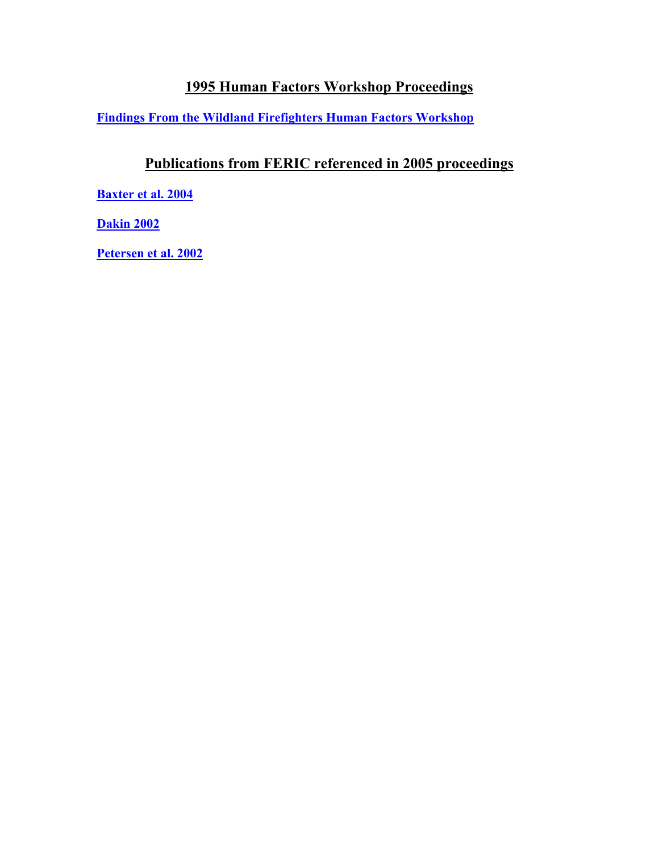## **1995 Human Factors Workshop Proceedings**

**Findings From the Wildland Firefighters Human Factors Workshop**

## **Publications from FERIC referenced in 2005 proceedings**

**Baxter et al. 2004**

**Dakin 2002**

**Petersen et al. 2002**